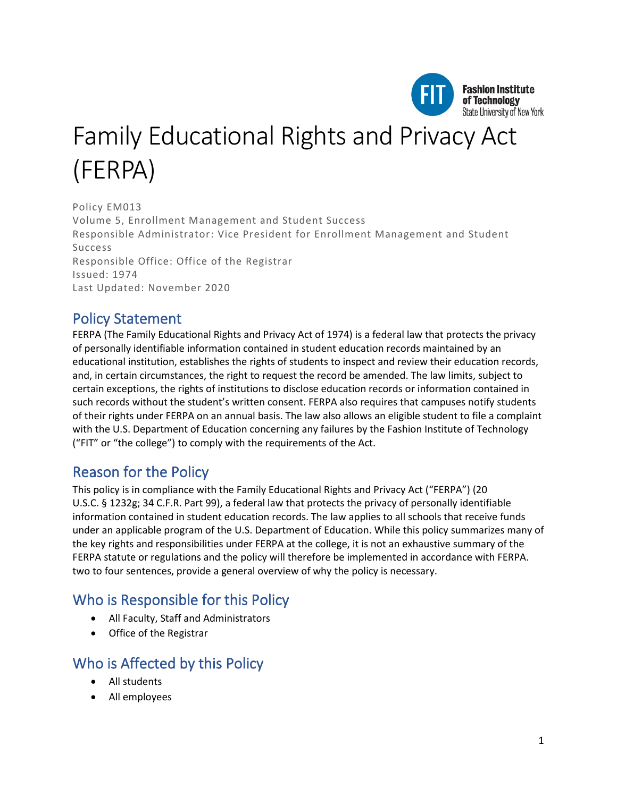

# Family Educational Rights and Privacy Act (FERPA)

Policy EM013 Volume 5, Enrollment Management and Student Success Responsible Administrator: Vice President for Enrollment Management and Student Success Responsible Office: Office of the Registrar Issued: 1974 Last Updated: November 2020

# Policy Statement

FERPA (The Family Educational Rights and Privacy Act of 1974) is a federal law that protects the privacy of personally identifiable information contained in student education records maintained by an educational institution, establishes the rights of students to inspect and review their education records, and, in certain circumstances, the right to request the record be amended. The law limits, subject to certain exceptions, the rights of institutions to disclose education records or information contained in such records without the student's written consent. FERPA also requires that campuses notify students of their rights under FERPA on an annual basis. The law also allows an eligible student to file a complaint with the U.S. Department of Education concerning any failures by the Fashion Institute of Technology ("FIT" or "the college") to comply with the requirements of the Act.

## Reason for the Policy

This policy is in compliance with the Family Educational Rights and Privacy Act ("FERPA") (20 U.S.C. § 1232g; 34 C.F.R. Part 99), a federal law that protects the privacy of personally identifiable information contained in student education records. The law applies to all schools that receive funds under an applicable program of the U.S. Department of Education. While this policy summarizes many of the key rights and responsibilities under FERPA at the college, it is not an exhaustive summary of the FERPA statute or regulations and the policy will therefore be implemented in accordance with FERPA. two to four sentences, provide a general overview of why the policy is necessary.

## Who is Responsible for this Policy

- All Faculty, Staff and Administrators
- Office of the Registrar

## Who is Affected by this Policy

- All students
- All employees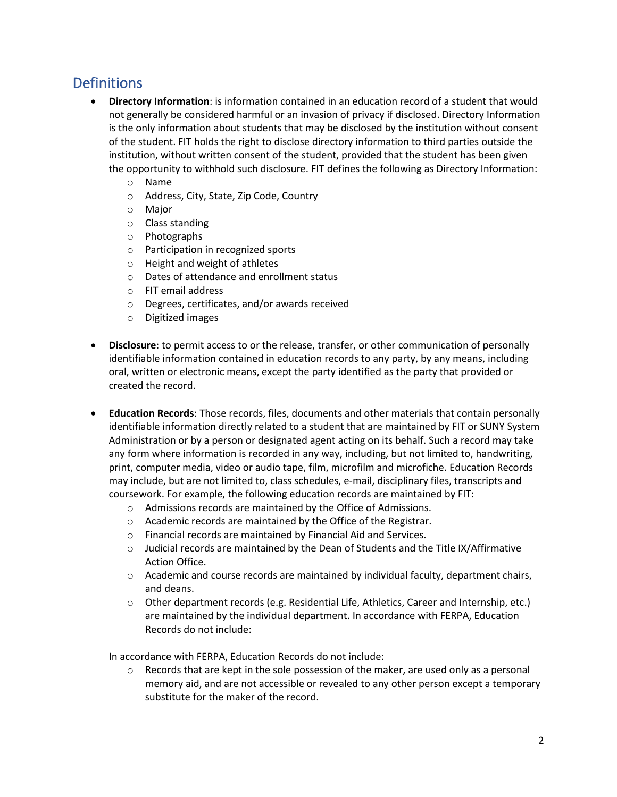# **Definitions**

- **Directory Information**: is information contained in an education record of a student that would not generally be considered harmful or an invasion of privacy if disclosed. Directory Information is the only information about students that may be disclosed by the institution without consent of the student. FIT holds the right to disclose directory information to third parties outside the institution, without written consent of the student, provided that the student has been given the opportunity to withhold such disclosure. FIT defines the following as Directory Information:
	- o Name
	- o Address, City, State, Zip Code, Country
	- o Major
	- o Class standing
	- o Photographs
	- o Participation in recognized sports
	- o Height and weight of athletes
	- o Dates of attendance and enrollment status
	- o FIT email address
	- o Degrees, certificates, and/or awards received
	- o Digitized images
- **Disclosure**: to permit access to or the release, transfer, or other communication of personally identifiable information contained in education records to any party, by any means, including oral, written or electronic means, except the party identified as the party that provided or created the record.
- **Education Records**: Those records, files, documents and other materials that contain personally identifiable information directly related to a student that are maintained by FIT or SUNY System Administration or by a person or designated agent acting on its behalf. Such a record may take any form where information is recorded in any way, including, but not limited to, handwriting, print, computer media, video or audio tape, film, microfilm and microfiche. Education Records may include, but are not limited to, class schedules, e-mail, disciplinary files, transcripts and coursework. For example, the following education records are maintained by FIT:
	- o Admissions records are maintained by the Office of Admissions.
	- o Academic records are maintained by the Office of the Registrar.
	- o Financial records are maintained by Financial Aid and Services.
	- $\circ$  Judicial records are maintained by the Dean of Students and the Title IX/Affirmative Action Office.
	- $\circ$  Academic and course records are maintained by individual faculty, department chairs, and deans.
	- o Other department records (e.g. Residential Life, Athletics, Career and Internship, etc.) are maintained by the individual department. In accordance with FERPA, Education Records do not include:

In accordance with FERPA, Education Records do not include:

 $\circ$  Records that are kept in the sole possession of the maker, are used only as a personal memory aid, and are not accessible or revealed to any other person except a temporary substitute for the maker of the record.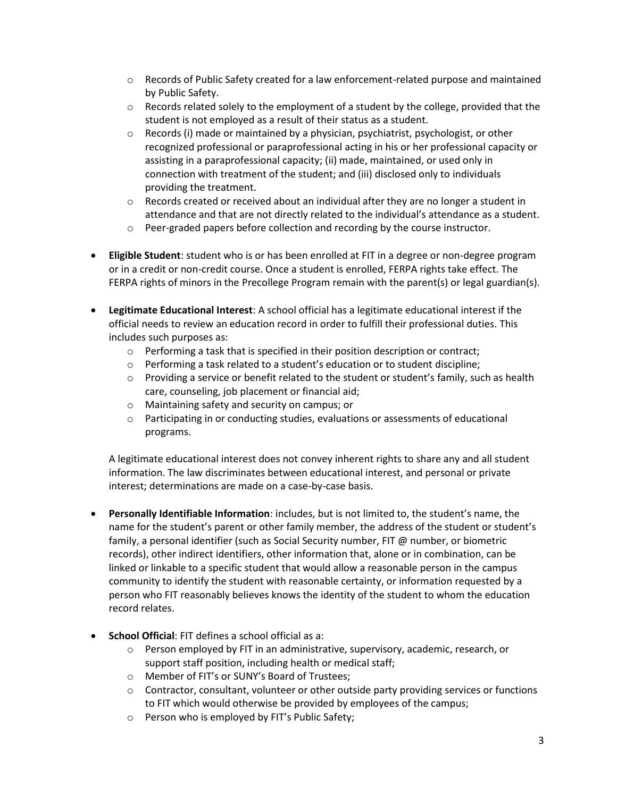- $\circ$  Records of Public Safety created for a law enforcement-related purpose and maintained by Public Safety.
- $\circ$  Records related solely to the employment of a student by the college, provided that the student is not employed as a result of their status as a student.
- $\circ$  Records (i) made or maintained by a physician, psychiatrist, psychologist, or other recognized professional or paraprofessional acting in his or her professional capacity or assisting in a paraprofessional capacity; (ii) made, maintained, or used only in connection with treatment of the student; and (iii) disclosed only to individuals providing the treatment.
- $\circ$  Records created or received about an individual after they are no longer a student in attendance and that are not directly related to the individual's attendance as a student.
- $\circ$  Peer-graded papers before collection and recording by the course instructor.
- **Eligible Student**: student who is or has been enrolled at FIT in a degree or non-degree program or in a credit or non-credit course. Once a student is enrolled, FERPA rights take effect. The FERPA rights of minors in the Precollege Program remain with the parent(s) or legal guardian(s).
- **Legitimate Educational Interest**: A school official has a legitimate educational interest if the official needs to review an education record in order to fulfill their professional duties. This includes such purposes as:
	- $\circ$  Performing a task that is specified in their position description or contract;
	- o Performing a task related to a student's education or to student discipline;
	- $\circ$  Providing a service or benefit related to the student or student's family, such as health care, counseling, job placement or financial aid;
	- o Maintaining safety and security on campus; or
	- $\circ$  Participating in or conducting studies, evaluations or assessments of educational programs.

A legitimate educational interest does not convey inherent rights to share any and all student information. The law discriminates between educational interest, and personal or private interest; determinations are made on a case-by-case basis.

- **Personally Identifiable Information**: includes, but is not limited to, the student's name, the name for the student's parent or other family member, the address of the student or student's family, a personal identifier (such as Social Security number, FIT @ number, or biometric records), other indirect identifiers, other information that, alone or in combination, can be linked or linkable to a specific student that would allow a reasonable person in the campus community to identify the student with reasonable certainty, or information requested by a person who FIT reasonably believes knows the identity of the student to whom the education record relates.
- **School Official**: FIT defines a school official as a:
	- $\circ$  Person employed by FIT in an administrative, supervisory, academic, research, or support staff position, including health or medical staff;
	- o Member of FIT's or SUNY's Board of Trustees;
	- $\circ$  Contractor, consultant, volunteer or other outside party providing services or functions to FIT which would otherwise be provided by employees of the campus;
	- o Person who is employed by FIT's Public Safety;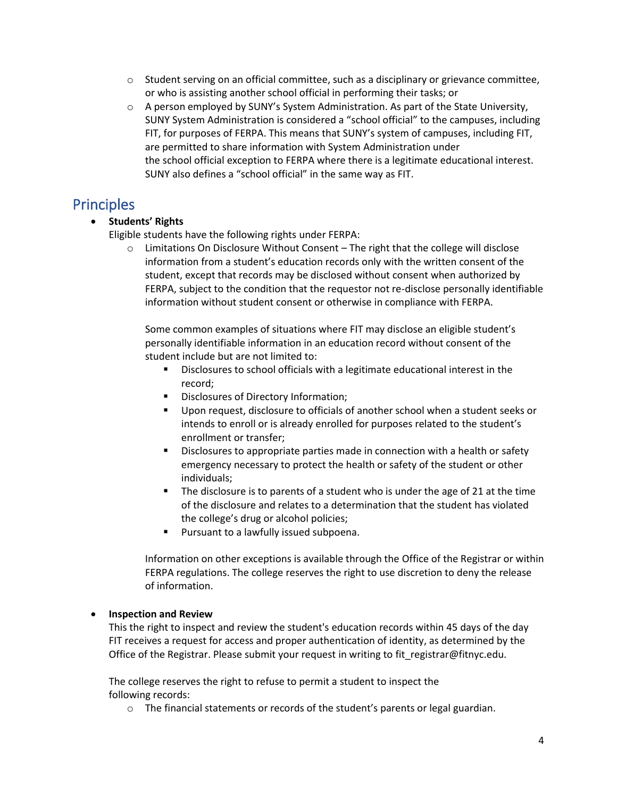- $\circ$  Student serving on an official committee, such as a disciplinary or grievance committee, or who is assisting another school official in performing their tasks; or
- $\circ$  A person employed by SUNY's System Administration. As part of the State University, SUNY System Administration is considered a "school official" to the campuses, including FIT, for purposes of FERPA. This means that SUNY's system of campuses, including FIT, are permitted to share information with System Administration under the school official exception to FERPA where there is a legitimate educational interest. SUNY also defines a "school official" in the same way as FIT.

## Principles

#### • **Students' Rights**

Eligible students have the following rights under FERPA:

 $\circ$  Limitations On Disclosure Without Consent – The right that the college will disclose information from a student's education records only with the written consent of the student, except that records may be disclosed without consent when authorized by FERPA, subject to the condition that the requestor not re-disclose personally identifiable information without student consent or otherwise in compliance with FERPA.

Some common examples of situations where FIT may disclose an eligible student's personally identifiable information in an education record without consent of the student include but are not limited to:

- Disclosures to school officials with a legitimate educational interest in the record;
- Disclosures of Directory Information;
- Upon request, disclosure to officials of another school when a student seeks or intends to enroll or is already enrolled for purposes related to the student's enrollment or transfer;
- Disclosures to appropriate parties made in connection with a health or safety emergency necessary to protect the health or safety of the student or other individuals;
- The disclosure is to parents of a student who is under the age of 21 at the time of the disclosure and relates to a determination that the student has violated the college's drug or alcohol policies;
- Pursuant to a lawfully issued subpoena.

Information on other exceptions is available through the Office of the Registrar or within FERPA regulations. The college reserves the right to use discretion to deny the release of information.

#### • **Inspection and Review**

This the right to inspect and review the student's education records within 45 days of the day FIT receives a request for access and proper authentication of identity, as determined by the Office of the Registrar. Please submit your request in writing to fit registrar@fitnyc.edu.

The college reserves the right to refuse to permit a student to inspect the following records:

o The financial statements or records of the student's parents or legal guardian.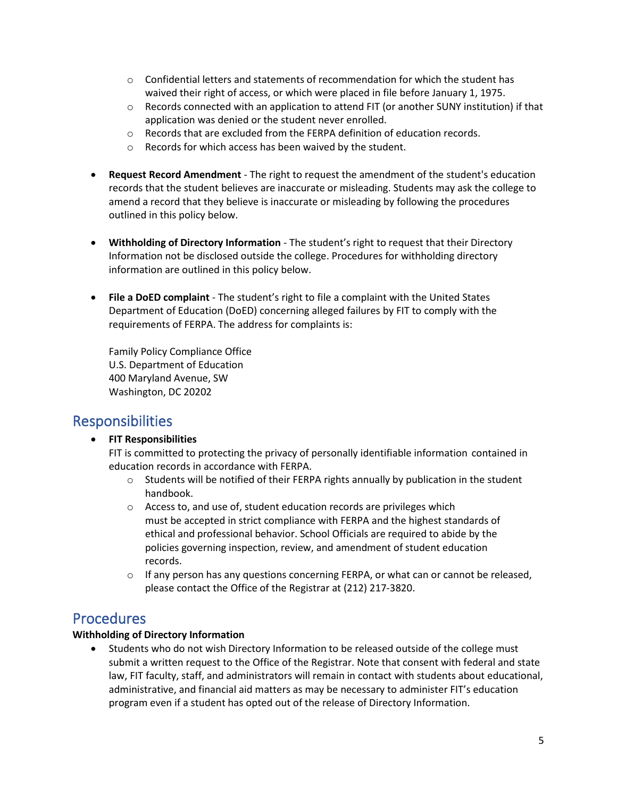- $\circ$  Confidential letters and statements of recommendation for which the student has waived their right of access, or which were placed in file before January 1, 1975.
- $\circ$  Records connected with an application to attend FIT (or another SUNY institution) if that application was denied or the student never enrolled.
- $\circ$  Records that are excluded from the FERPA definition of education records.
- o Records for which access has been waived by the student.
- **Request Record Amendment** The right to request the amendment of the student's education records that the student believes are inaccurate or misleading. Students may ask the college to amend a record that they believe is inaccurate or misleading by following the procedures outlined in this policy below.
- **Withholding of Directory Information** The student's right to request that their Directory Information not be disclosed outside the college. Procedures for withholding directory information are outlined in this policy below.
- **File a DoED complaint** The student's right to file a complaint with the United States Department of Education (DoED) concerning alleged failures by FIT to comply with the requirements of FERPA. The address for complaints is:

Family Policy Compliance Office U.S. Department of Education 400 Maryland Avenue, SW Washington, DC 20202

## Responsibilities

#### • **FIT Responsibilities**

FIT is committed to protecting the privacy of personally identifiable information contained in education records in accordance with FERPA.

- $\circ$  Students will be notified of their FERPA rights annually by publication in the student handbook.
- $\circ$  Access to, and use of, student education records are privileges which must be accepted in strict compliance with FERPA and the highest standards of ethical and professional behavior. School Officials are required to abide by the policies governing inspection, review, and amendment of student education records.
- $\circ$  If any person has any questions concerning FERPA, or what can or cannot be released, please contact the Office of the Registrar at (212) 217-3820.

#### Procedures

#### **Withholding of Directory Information**

• Students who do not wish Directory Information to be released outside of the college must submit a written request to the Office of the Registrar. Note that consent with federal and state law, FIT faculty, staff, and administrators will remain in contact with students about educational, administrative, and financial aid matters as may be necessary to administer FIT's education program even if a student has opted out of the release of Directory Information.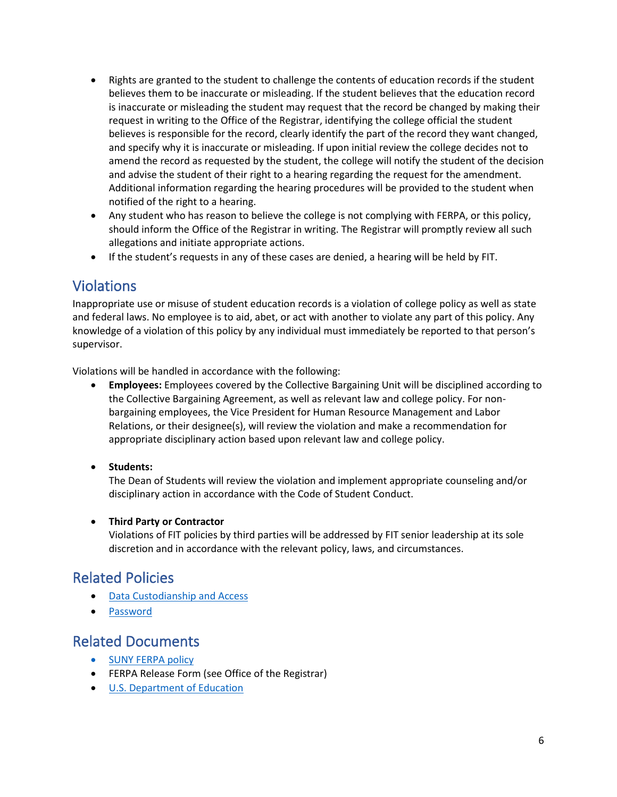- Rights are granted to the student to challenge the contents of education records if the student believes them to be inaccurate or misleading. If the student believes that the education record is inaccurate or misleading the student may request that the record be changed by making their request in writing to the Office of the Registrar, identifying the college official the student believes is responsible for the record, clearly identify the part of the record they want changed, and specify why it is inaccurate or misleading. If upon initial review the college decides not to amend the record as requested by the student, the college will notify the student of the decision and advise the student of their right to a hearing regarding the request for the amendment. Additional information regarding the hearing procedures will be provided to the student when notified of the right to a hearing.
- Any student who has reason to believe the college is not complying with FERPA, or this policy, should inform the Office of the Registrar in writing. The Registrar will promptly review all such allegations and initiate appropriate actions.
- If the student's requests in any of these cases are denied, a hearing will be held by FIT.

## Violations

Inappropriate use or misuse of student education records is a violation of college policy as well as state and federal laws. No employee is to aid, abet, or act with another to violate any part of this policy. Any knowledge of a violation of this policy by any individual must immediately be reported to that person's supervisor.

Violations will be handled in accordance with the following:

- **Employees:** Employees covered by the Collective Bargaining Unit will be disciplined according to the Collective Bargaining Agreement, as well as relevant law and college policy. For nonbargaining employees, the Vice President for Human Resource Management and Labor Relations, or their designee(s), will review the violation and make a recommendation for appropriate disciplinary action based upon relevant law and college policy.
- **Students:**

The Dean of Students will review the violation and implement appropriate counseling and/or disciplinary action in accordance with the Code of Student Conduct.

#### • **Third Party or Contractor**

Violations of FIT policies by third parties will be addressed by FIT senior leadership at its sole discretion and in accordance with the relevant policy, laws, and circumstances.

#### Related Policies

- **[Data Custodianship and Access](http://www.fitnyc.edu/policies/it/data-custodianship.php)**
- [Password](http://www.fitnyc.edu/policies/it/passwords/index.php)

#### Related Documents

- [SUNY FERPA](https://www.suny.edu/sunypp/documents.cfm?doc_id=540) policy
- FERPA Release Form (see Office of the Registrar)
- [U.S. Department of Education](https://www.ed.gov/category/keyword/ferpa)